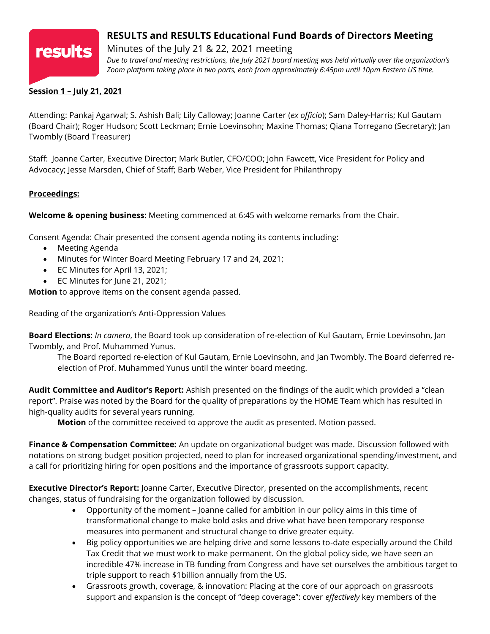

# **RESULTS and RESULTS Educational Fund Boards of Directors Meeting**

Minutes of the July 21 & 22, 2021 meeting *Due to travel and meeting restrictions, the July 2021 board meeting was held virtually over the organization's Zoom platform taking place in two parts, each from approximately 6:45pm until 10pm Eastern US time.*

## **Session 1 – July 21, 2021**

Attending: Pankaj Agarwal; S. Ashish Bali; Lily Calloway; Joanne Carter (*ex officio*); Sam Daley-Harris; Kul Gautam (Board Chair); Roger Hudson; Scott Leckman; Ernie Loevinsohn; Maxine Thomas; Qiana Torregano (Secretary); Jan Twombly (Board Treasurer)

Staff: Joanne Carter, Executive Director; Mark Butler, CFO/COO; John Fawcett, Vice President for Policy and Advocacy; Jesse Marsden, Chief of Staff; Barb Weber, Vice President for Philanthropy

# **Proceedings:**

**Welcome & opening business**: Meeting commenced at 6:45 with welcome remarks from the Chair.

Consent Agenda: Chair presented the consent agenda noting its contents including:

- Meeting Agenda
- Minutes for Winter Board Meeting February 17 and 24, 2021;
- EC Minutes for April 13, 2021;
- EC Minutes for June 21, 2021;

**Motion** to approve items on the consent agenda passed.

Reading of the organization's Anti-Oppression Values

**Board Elections**: *In camera*, the Board took up consideration of re-election of Kul Gautam, Ernie Loevinsohn, Jan Twombly, and Prof. Muhammed Yunus.

The Board reported re-election of Kul Gautam, Ernie Loevinsohn, and Jan Twombly. The Board deferred reelection of Prof. Muhammed Yunus until the winter board meeting.

**Audit Committee and Auditor's Report:** Ashish presented on the findings of the audit which provided a "clean report". Praise was noted by the Board for the quality of preparations by the HOME Team which has resulted in high-quality audits for several years running.

**Motion** of the committee received to approve the audit as presented. Motion passed.

**Finance & Compensation Committee:** An update on organizational budget was made. Discussion followed with notations on strong budget position projected, need to plan for increased organizational spending/investment, and a call for prioritizing hiring for open positions and the importance of grassroots support capacity.

**Executive Director's Report:** Joanne Carter, Executive Director, presented on the accomplishments, recent changes, status of fundraising for the organization followed by discussion.

- Opportunity of the moment Joanne called for ambition in our policy aims in this time of transformational change to make bold asks and drive what have been temporary response measures into permanent and structural change to drive greater equity.
- Big policy opportunities we are helping drive and some lessons to-date especially around the Child Tax Credit that we must work to make permanent. On the global policy side, we have seen an incredible 47% increase in TB funding from Congress and have set ourselves the ambitious target to triple support to reach \$1billion annually from the US.
- Grassroots growth, coverage, & innovation: Placing at the core of our approach on grassroots support and expansion is the concept of "deep coverage": cover *effectively* key members of the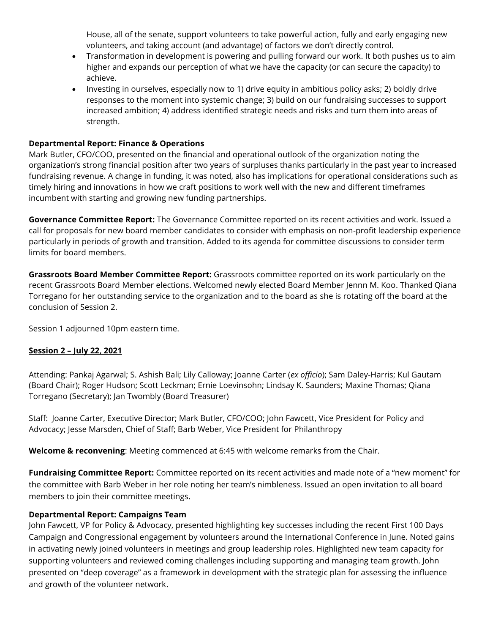House, all of the senate, support volunteers to take powerful action, fully and early engaging new volunteers, and taking account (and advantage) of factors we don't directly control.

- Transformation in development is powering and pulling forward our work. It both pushes us to aim higher and expands our perception of what we have the capacity (or can secure the capacity) to achieve.
- Investing in ourselves, especially now to 1) drive equity in ambitious policy asks; 2) boldly drive responses to the moment into systemic change; 3) build on our fundraising successes to support increased ambition; 4) address identified strategic needs and risks and turn them into areas of strength.

### **Departmental Report: Finance & Operations**

Mark Butler, CFO/COO, presented on the financial and operational outlook of the organization noting the organization's strong financial position after two years of surpluses thanks particularly in the past year to increased fundraising revenue. A change in funding, it was noted, also has implications for operational considerations such as timely hiring and innovations in how we craft positions to work well with the new and different timeframes incumbent with starting and growing new funding partnerships.

**Governance Committee Report:** The Governance Committee reported on its recent activities and work. Issued a call for proposals for new board member candidates to consider with emphasis on non-profit leadership experience particularly in periods of growth and transition. Added to its agenda for committee discussions to consider term limits for board members.

**Grassroots Board Member Committee Report:** Grassroots committee reported on its work particularly on the recent Grassroots Board Member elections. Welcomed newly elected Board Member Jennn M. Koo. Thanked Qiana Torregano for her outstanding service to the organization and to the board as she is rotating off the board at the conclusion of Session 2.

Session 1 adjourned 10pm eastern time.

## **Session 2 – July 22, 2021**

Attending: Pankaj Agarwal; S. Ashish Bali; Lily Calloway; Joanne Carter (*ex officio*); Sam Daley-Harris; Kul Gautam (Board Chair); Roger Hudson; Scott Leckman; Ernie Loevinsohn; Lindsay K. Saunders; Maxine Thomas; Qiana Torregano (Secretary); Jan Twombly (Board Treasurer)

Staff: Joanne Carter, Executive Director; Mark Butler, CFO/COO; John Fawcett, Vice President for Policy and Advocacy; Jesse Marsden, Chief of Staff; Barb Weber, Vice President for Philanthropy

**Welcome & reconvening**: Meeting commenced at 6:45 with welcome remarks from the Chair.

**Fundraising Committee Report:** Committee reported on its recent activities and made note of a "new moment" for the committee with Barb Weber in her role noting her team's nimbleness. Issued an open invitation to all board members to join their committee meetings.

#### **Departmental Report: Campaigns Team**

John Fawcett, VP for Policy & Advocacy, presented highlighting key successes including the recent First 100 Days Campaign and Congressional engagement by volunteers around the International Conference in June. Noted gains in activating newly joined volunteers in meetings and group leadership roles. Highlighted new team capacity for supporting volunteers and reviewed coming challenges including supporting and managing team growth. John presented on "deep coverage" as a framework in development with the strategic plan for assessing the influence and growth of the volunteer network.